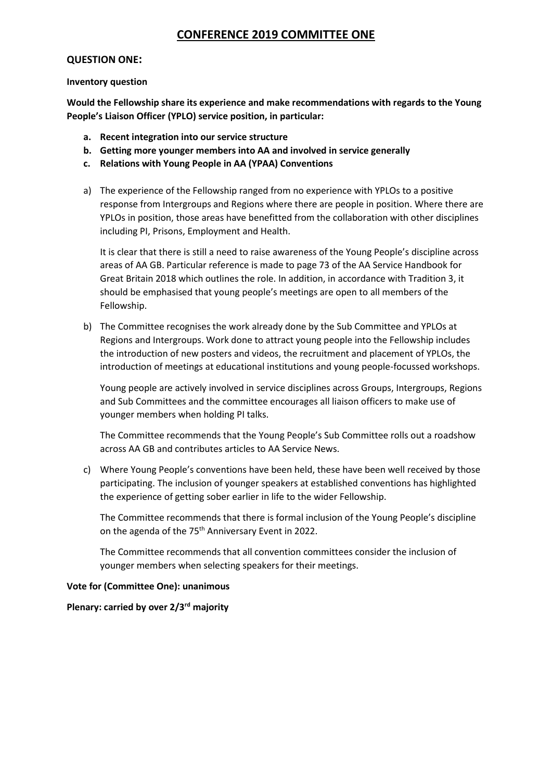# **CONFERENCE 2019 COMMITTEE ONE**

#### **QUESTION ONE:**

#### **Inventory question**

**Would the Fellowship share its experience and make recommendations with regards to the Young People's Liaison Officer (YPLO) service position, in particular:**

- **a. Recent integration into our service structure**
- **b. Getting more younger members into AA and involved in service generally**
- **c. Relations with Young People in AA (YPAA) Conventions**
- a) The experience of the Fellowship ranged from no experience with YPLOs to a positive response from Intergroups and Regions where there are people in position. Where there are YPLOs in position, those areas have benefitted from the collaboration with other disciplines including PI, Prisons, Employment and Health.

It is clear that there is still a need to raise awareness of the Young People's discipline across areas of AA GB. Particular reference is made to page 73 of the AA Service Handbook for Great Britain 2018 which outlines the role. In addition, in accordance with Tradition 3, it should be emphasised that young people's meetings are open to all members of the Fellowship.

b) The Committee recognises the work already done by the Sub Committee and YPLOs at Regions and Intergroups. Work done to attract young people into the Fellowship includes the introduction of new posters and videos, the recruitment and placement of YPLOs, the introduction of meetings at educational institutions and young people-focussed workshops.

Young people are actively involved in service disciplines across Groups, Intergroups, Regions and Sub Committees and the committee encourages all liaison officers to make use of younger members when holding PI talks.

The Committee recommends that the Young People's Sub Committee rolls out a roadshow across AA GB and contributes articles to AA Service News.

c) Where Young People's conventions have been held, these have been well received by those participating. The inclusion of younger speakers at established conventions has highlighted the experience of getting sober earlier in life to the wider Fellowship.

The Committee recommends that there is formal inclusion of the Young People's discipline on the agenda of the 75<sup>th</sup> Anniversary Event in 2022.

The Committee recommends that all convention committees consider the inclusion of younger members when selecting speakers for their meetings.

## **Vote for (Committee One): unanimous**

**Plenary: carried by over 2/3rd majority**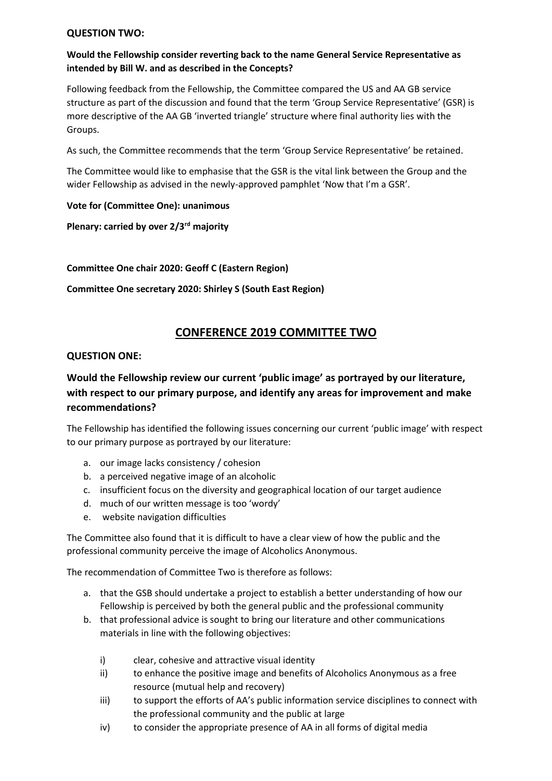#### **QUESTION TWO:**

## **Would the Fellowship consider reverting back to the name General Service Representative as intended by Bill W. and as described in the Concepts?**

Following feedback from the Fellowship, the Committee compared the US and AA GB service structure as part of the discussion and found that the term 'Group Service Representative' (GSR) is more descriptive of the AA GB 'inverted triangle' structure where final authority lies with the Groups.

As such, the Committee recommends that the term 'Group Service Representative' be retained.

The Committee would like to emphasise that the GSR is the vital link between the Group and the wider Fellowship as advised in the newly-approved pamphlet 'Now that I'm a GSR'.

#### **Vote for (Committee One): unanimous**

**Plenary: carried by over 2/3rd majority**

**Committee One chair 2020: Geoff C (Eastern Region)**

**Committee One secretary 2020: Shirley S (South East Region)**

# **CONFERENCE 2019 COMMITTEE TWO**

#### **QUESTION ONE:**

# **Would the Fellowship review our current 'public image' as portrayed by our literature, with respect to our primary purpose, and identify any areas for improvement and make recommendations?**

The Fellowship has identified the following issues concerning our current 'public image' with respect to our primary purpose as portrayed by our literature:

- a. our image lacks consistency / cohesion
- b. a perceived negative image of an alcoholic
- c. insufficient focus on the diversity and geographical location of our target audience
- d. much of our written message is too 'wordy'
- e. website navigation difficulties

The Committee also found that it is difficult to have a clear view of how the public and the professional community perceive the image of Alcoholics Anonymous.

The recommendation of Committee Two is therefore as follows:

- a. that the GSB should undertake a project to establish a better understanding of how our Fellowship is perceived by both the general public and the professional community
- b. that professional advice is sought to bring our literature and other communications materials in line with the following objectives:
	- i) clear, cohesive and attractive visual identity
	- ii) to enhance the positive image and benefits of Alcoholics Anonymous as a free resource (mutual help and recovery)
	- iii) to support the efforts of AA's public information service disciplines to connect with the professional community and the public at large
	- iv) to consider the appropriate presence of AA in all forms of digital media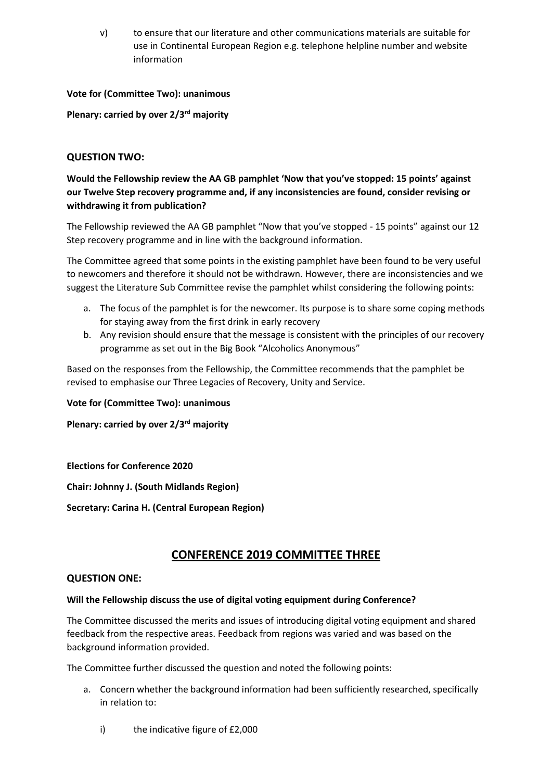v) to ensure that our literature and other communications materials are suitable for use in Continental European Region e.g. telephone helpline number and website information

## **Vote for (Committee Two): unanimous**

**Plenary: carried by over 2/3rd majority**

## **QUESTION TWO:**

**Would the Fellowship review the AA GB pamphlet 'Now that you've stopped: 15 points' against our Twelve Step recovery programme and, if any inconsistencies are found, consider revising or withdrawing it from publication?**

The Fellowship reviewed the AA GB pamphlet "Now that you've stopped - 15 points" against our 12 Step recovery programme and in line with the background information.

The Committee agreed that some points in the existing pamphlet have been found to be very useful to newcomers and therefore it should not be withdrawn. However, there are inconsistencies and we suggest the Literature Sub Committee revise the pamphlet whilst considering the following points:

- a. The focus of the pamphlet is for the newcomer. Its purpose is to share some coping methods for staying away from the first drink in early recovery
- b. Any revision should ensure that the message is consistent with the principles of our recovery programme as set out in the Big Book "Alcoholics Anonymous"

Based on the responses from the Fellowship, the Committee recommends that the pamphlet be revised to emphasise our Three Legacies of Recovery, Unity and Service.

**Vote for (Committee Two): unanimous**

**Plenary: carried by over 2/3rd majority**

## **Elections for Conference 2020**

**Chair: Johnny J. (South Midlands Region)**

**Secretary: Carina H. (Central European Region)**

# **CONFERENCE 2019 COMMITTEE THREE**

#### **QUESTION ONE:**

## **Will the Fellowship discuss the use of digital voting equipment during Conference?**

The Committee discussed the merits and issues of introducing digital voting equipment and shared feedback from the respective areas. Feedback from regions was varied and was based on the background information provided.

The Committee further discussed the question and noted the following points:

- a. Concern whether the background information had been sufficiently researched, specifically in relation to:
	- i) the indicative figure of £2,000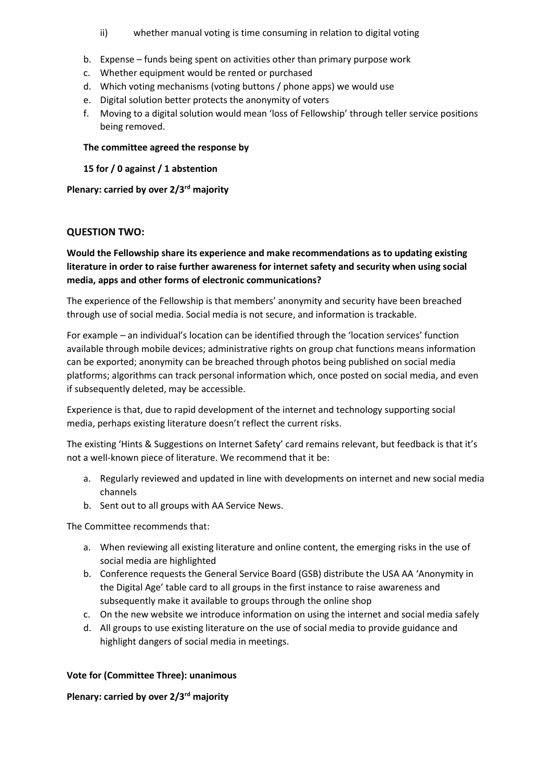- ii) whether manual voting is time consuming in relation to digital voting
- b. Expense funds being spent on activities other than primary purpose work
- c. Whether equipment would be rented or purchased
- d. Which voting mechanisms (voting buttons / phone apps) we would use
- e. Digital solution better protects the anonymity of voters
- f. Moving to a digital solution would mean 'loss of Fellowship' through teller service positions being removed.

#### **The committee agreed the response by**

**15 for / 0 against / 1 abstention**

**Plenary: carried by over 2/3rd majority**

## **QUESTION TWO:**

## **Would the Fellowship share its experience and make recommendations as to updating existing literature in order to raise further awareness for internet safety and security when using social media, apps and other forms of electronic communications?**

The experience of the Fellowship is that members' anonymity and security have been breached through use of social media. Social media is not secure, and information is trackable.

For example – an individual's location can be identified through the 'location services' function available through mobile devices; administrative rights on group chat functions means information can be exported; anonymity can be breached through photos being published on social media platforms; algorithms can track personal information which, once posted on social media, and even if subsequently deleted, may be accessible.

Experience is that, due to rapid development of the internet and technology supporting social media, perhaps existing literature doesn't reflect the current risks.

The existing 'Hints & Suggestions on Internet Safety' card remains relevant, but feedback is that it's not a well-known piece of literature. We recommend that it be:

- a. Regularly reviewed and updated in line with developments on internet and new social media channels
- b. Sent out to all groups with AA Service News.

The Committee recommends that:

- a. When reviewing all existing literature and online content, the emerging risks in the use of social media are highlighted
- b. Conference requests the General Service Board (GSB) distribute the USA AA 'Anonymity in the Digital Age' table card to all groups in the first instance to raise awareness and subsequently make it available to groups through the online shop
- c. On the new website we introduce information on using the internet and social media safely
- d. All groups to use existing literature on the use of social media to provide guidance and highlight dangers of social media in meetings.

## **Vote for (Committee Three): unanimous**

#### **Plenary: carried by over 2/3rd majority**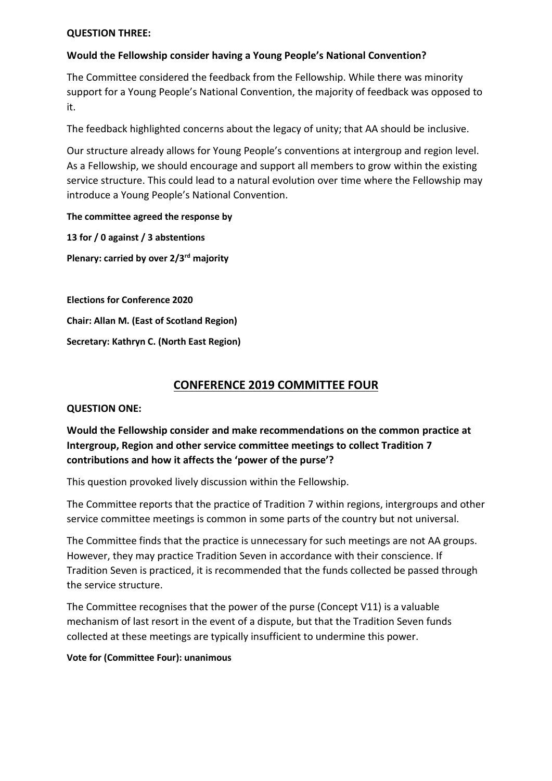## **QUESTION THREE:**

## **Would the Fellowship consider having a Young People's National Convention?**

The Committee considered the feedback from the Fellowship. While there was minority support for a Young People's National Convention, the majority of feedback was opposed to it.

The feedback highlighted concerns about the legacy of unity; that AA should be inclusive.

Our structure already allows for Young People's conventions at intergroup and region level. As a Fellowship, we should encourage and support all members to grow within the existing service structure. This could lead to a natural evolution over time where the Fellowship may introduce a Young People's National Convention.

## **The committee agreed the response by**

**13 for / 0 against / 3 abstentions Plenary: carried by over 2/3rd majority**

**Elections for Conference 2020 Chair: Allan M. (East of Scotland Region) Secretary: Kathryn C. (North East Region)**

# **CONFERENCE 2019 COMMITTEE FOUR**

## **QUESTION ONE:**

# **Would the Fellowship consider and make recommendations on the common practice at Intergroup, Region and other service committee meetings to collect Tradition 7 contributions and how it affects the 'power of the purse'?**

This question provoked lively discussion within the Fellowship.

The Committee reports that the practice of Tradition 7 within regions, intergroups and other service committee meetings is common in some parts of the country but not universal.

The Committee finds that the practice is unnecessary for such meetings are not AA groups. However, they may practice Tradition Seven in accordance with their conscience. If Tradition Seven is practiced, it is recommended that the funds collected be passed through the service structure.

The Committee recognises that the power of the purse (Concept V11) is a valuable mechanism of last resort in the event of a dispute, but that the Tradition Seven funds collected at these meetings are typically insufficient to undermine this power.

## **Vote for (Committee Four): unanimous**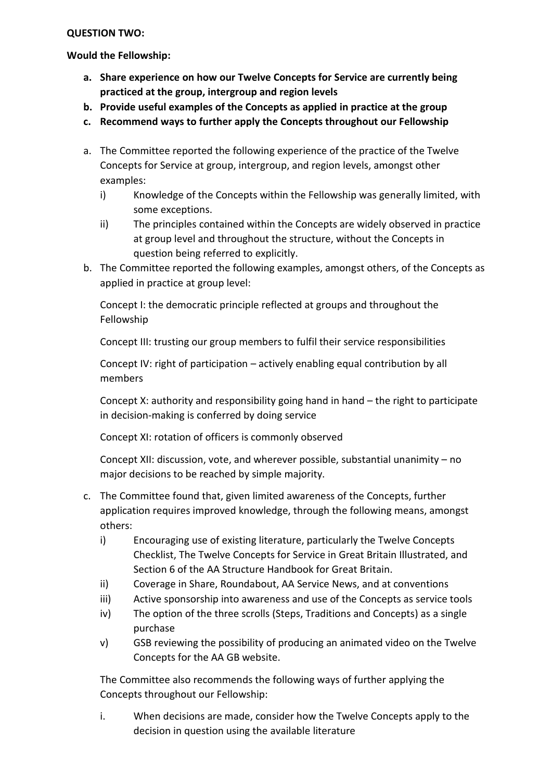## **QUESTION TWO:**

**Would the Fellowship:**

- **a. Share experience on how our Twelve Concepts for Service are currently being practiced at the group, intergroup and region levels**
- **b. Provide useful examples of the Concepts as applied in practice at the group**
- **c. Recommend ways to further apply the Concepts throughout our Fellowship**
- a. The Committee reported the following experience of the practice of the Twelve Concepts for Service at group, intergroup, and region levels, amongst other examples:
	- i) Knowledge of the Concepts within the Fellowship was generally limited, with some exceptions.
	- ii) The principles contained within the Concepts are widely observed in practice at group level and throughout the structure, without the Concepts in question being referred to explicitly.
- b. The Committee reported the following examples, amongst others, of the Concepts as applied in practice at group level:

Concept I: the democratic principle reflected at groups and throughout the Fellowship

Concept III: trusting our group members to fulfil their service responsibilities

Concept IV: right of participation – actively enabling equal contribution by all members

Concept X: authority and responsibility going hand in hand – the right to participate in decision-making is conferred by doing service

Concept XI: rotation of officers is commonly observed

Concept XII: discussion, vote, and wherever possible, substantial unanimity – no major decisions to be reached by simple majority.

- c. The Committee found that, given limited awareness of the Concepts, further application requires improved knowledge, through the following means, amongst others:
	- i) Encouraging use of existing literature, particularly the Twelve Concepts Checklist, The Twelve Concepts for Service in Great Britain Illustrated, and Section 6 of the AA Structure Handbook for Great Britain.
	- ii) Coverage in Share, Roundabout, AA Service News, and at conventions
	- iii) Active sponsorship into awareness and use of the Concepts as service tools
	- iv) The option of the three scrolls (Steps, Traditions and Concepts) as a single purchase
	- v) GSB reviewing the possibility of producing an animated video on the Twelve Concepts for the AA GB website.

The Committee also recommends the following ways of further applying the Concepts throughout our Fellowship:

i. When decisions are made, consider how the Twelve Concepts apply to the decision in question using the available literature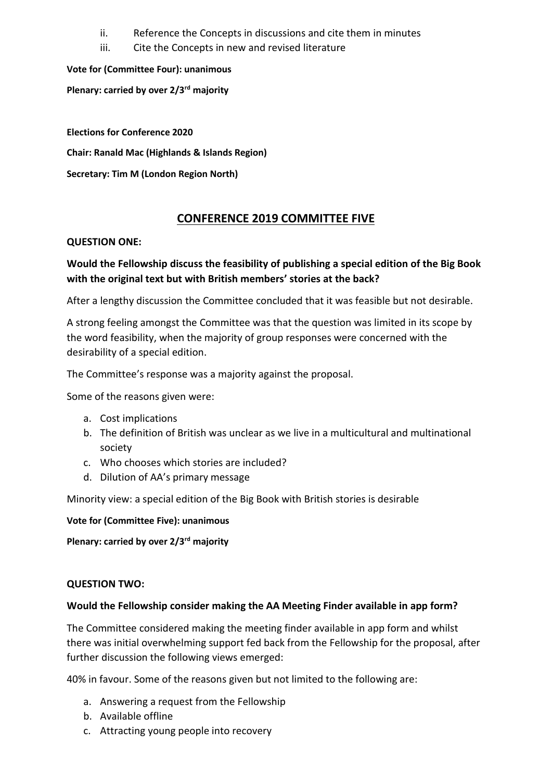- ii. Reference the Concepts in discussions and cite them in minutes
- iii. Cite the Concepts in new and revised literature

**Vote for (Committee Four): unanimous**

**Plenary: carried by over 2/3rd majority**

**Elections for Conference 2020**

**Chair: Ranald Mac (Highlands & Islands Region)**

**Secretary: Tim M (London Region North)**

# **CONFERENCE 2019 COMMITTEE FIVE**

# **QUESTION ONE:**

# **Would the Fellowship discuss the feasibility of publishing a special edition of the Big Book with the original text but with British members' stories at the back?**

After a lengthy discussion the Committee concluded that it was feasible but not desirable.

A strong feeling amongst the Committee was that the question was limited in its scope by the word feasibility, when the majority of group responses were concerned with the desirability of a special edition.

The Committee's response was a majority against the proposal.

Some of the reasons given were:

- a. Cost implications
- b. The definition of British was unclear as we live in a multicultural and multinational society
- c. Who chooses which stories are included?
- d. Dilution of AA's primary message

Minority view: a special edition of the Big Book with British stories is desirable

**Vote for (Committee Five): unanimous**

**Plenary: carried by over 2/3rd majority**

# **QUESTION TWO:**

# **Would the Fellowship consider making the AA Meeting Finder available in app form?**

The Committee considered making the meeting finder available in app form and whilst there was initial overwhelming support fed back from the Fellowship for the proposal, after further discussion the following views emerged:

40% in favour. Some of the reasons given but not limited to the following are:

- a. Answering a request from the Fellowship
- b. Available offline
- c. Attracting young people into recovery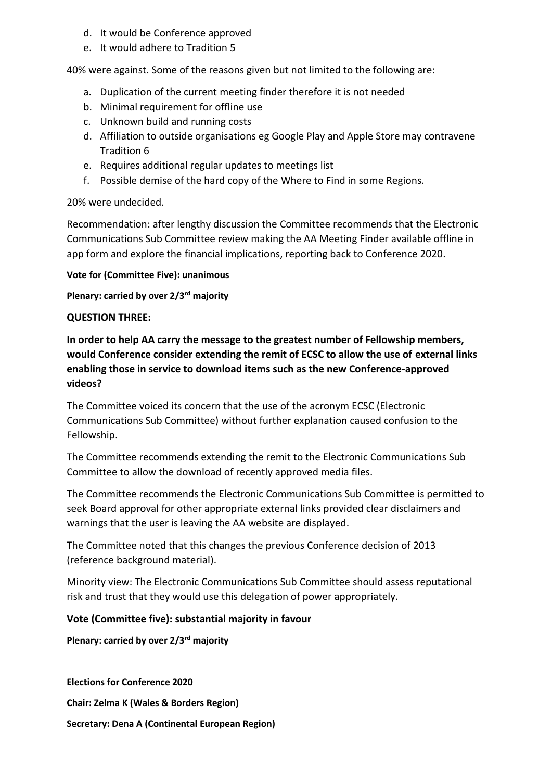- d. It would be Conference approved
- e. It would adhere to Tradition 5

40% were against. Some of the reasons given but not limited to the following are:

- a. Duplication of the current meeting finder therefore it is not needed
- b. Minimal requirement for offline use
- c. Unknown build and running costs
- d. Affiliation to outside organisations eg Google Play and Apple Store may contravene Tradition 6
- e. Requires additional regular updates to meetings list
- f. Possible demise of the hard copy of the Where to Find in some Regions.

# 20% were undecided.

Recommendation: after lengthy discussion the Committee recommends that the Electronic Communications Sub Committee review making the AA Meeting Finder available offline in app form and explore the financial implications, reporting back to Conference 2020.

## **Vote for (Committee Five): unanimous**

**Plenary: carried by over 2/3rd majority**

## **QUESTION THREE:**

**In order to help AA carry the message to the greatest number of Fellowship members, would Conference consider extending the remit of ECSC to allow the use of external links enabling those in service to download items such as the new Conference-approved videos?**

The Committee voiced its concern that the use of the acronym ECSC (Electronic Communications Sub Committee) without further explanation caused confusion to the Fellowship.

The Committee recommends extending the remit to the Electronic Communications Sub Committee to allow the download of recently approved media files.

The Committee recommends the Electronic Communications Sub Committee is permitted to seek Board approval for other appropriate external links provided clear disclaimers and warnings that the user is leaving the AA website are displayed.

The Committee noted that this changes the previous Conference decision of 2013 (reference background material).

Minority view: The Electronic Communications Sub Committee should assess reputational risk and trust that they would use this delegation of power appropriately.

# **Vote (Committee five): substantial majority in favour**

**Plenary: carried by over 2/3rd majority**

**Elections for Conference 2020 Chair: Zelma K (Wales & Borders Region) Secretary: Dena A (Continental European Region)**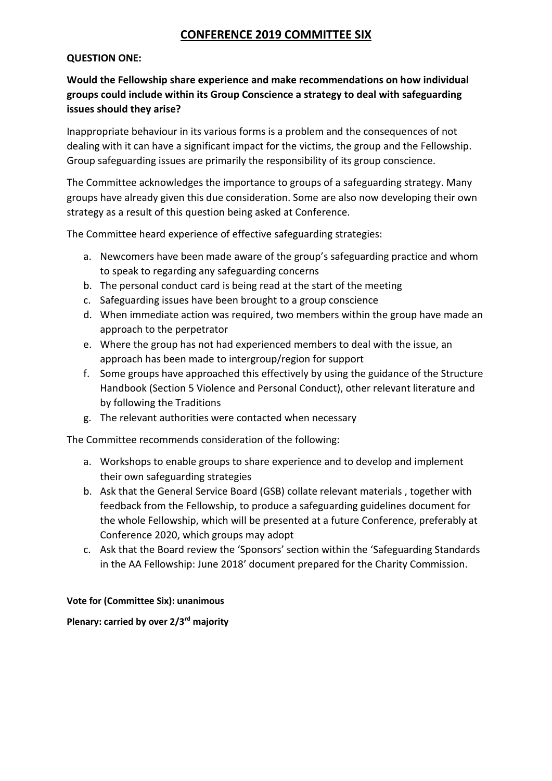# **CONFERENCE 2019 COMMITTEE SIX**

## **QUESTION ONE:**

# **Would the Fellowship share experience and make recommendations on how individual groups could include within its Group Conscience a strategy to deal with safeguarding issues should they arise?**

Inappropriate behaviour in its various forms is a problem and the consequences of not dealing with it can have a significant impact for the victims, the group and the Fellowship. Group safeguarding issues are primarily the responsibility of its group conscience.

The Committee acknowledges the importance to groups of a safeguarding strategy. Many groups have already given this due consideration. Some are also now developing their own strategy as a result of this question being asked at Conference.

The Committee heard experience of effective safeguarding strategies:

- a. Newcomers have been made aware of the group's safeguarding practice and whom to speak to regarding any safeguarding concerns
- b. The personal conduct card is being read at the start of the meeting
- c. Safeguarding issues have been brought to a group conscience
- d. When immediate action was required, two members within the group have made an approach to the perpetrator
- e. Where the group has not had experienced members to deal with the issue, an approach has been made to intergroup/region for support
- f. Some groups have approached this effectively by using the guidance of the Structure Handbook (Section 5 Violence and Personal Conduct), other relevant literature and by following the Traditions
- g. The relevant authorities were contacted when necessary

The Committee recommends consideration of the following:

- a. Workshops to enable groups to share experience and to develop and implement their own safeguarding strategies
- b. Ask that the General Service Board (GSB) collate relevant materials , together with feedback from the Fellowship, to produce a safeguarding guidelines document for the whole Fellowship, which will be presented at a future Conference, preferably at Conference 2020, which groups may adopt
- c. Ask that the Board review the 'Sponsors' section within the 'Safeguarding Standards in the AA Fellowship: June 2018' document prepared for the Charity Commission.

## **Vote for (Committee Six): unanimous**

## **Plenary: carried by over 2/3rd majority**